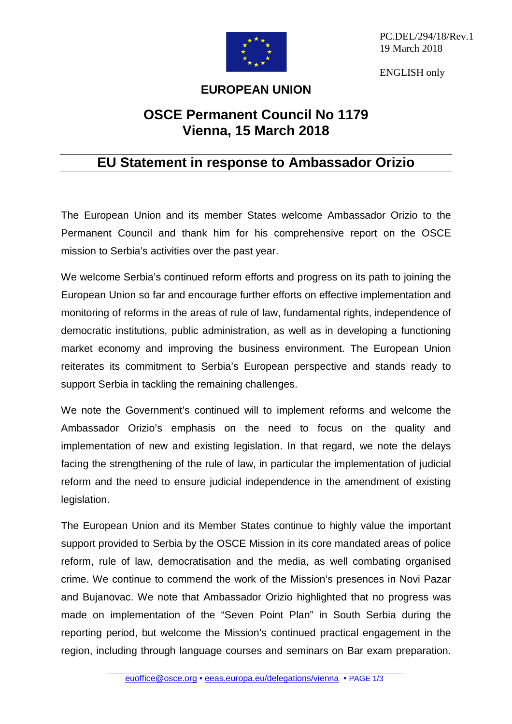

PC.DEL/294/18/Rev.1 19 March 2018

ENGLISH only

## **EUROPEAN UNION**

## **OSCE Permanent Council No 1179 Vienna, 15 March 2018**

## **EU Statement in response to Ambassador Orizio**

The European Union and its member States welcome Ambassador Orizio to the Permanent Council and thank him for his comprehensive report on the OSCE mission to Serbia's activities over the past year.

We welcome Serbia's continued reform efforts and progress on its path to joining the European Union so far and encourage further efforts on effective implementation and monitoring of reforms in the areas of rule of law, fundamental rights, independence of democratic institutions, public administration, as well as in developing a functioning market economy and improving the business environment. The European Union reiterates its commitment to Serbia's European perspective and stands ready to support Serbia in tackling the remaining challenges.

We note the Government's continued will to implement reforms and welcome the Ambassador Orizio's emphasis on the need to focus on the quality and implementation of new and existing legislation. In that regard, we note the delays facing the strengthening of the rule of law, in particular the implementation of judicial reform and the need to ensure judicial independence in the amendment of existing legislation.

The European Union and its Member States continue to highly value the important support provided to Serbia by the OSCE Mission in its core mandated areas of police reform, rule of law, democratisation and the media, as well combating organised crime. We continue to commend the work of the Mission's presences in Novi Pazar and Bujanovac. We note that Ambassador Orizio highlighted that no progress was made on implementation of the "Seven Point Plan" in South Serbia during the reporting period, but welcome the Mission's continued practical engagement in the region, including through language courses and seminars on Bar exam preparation.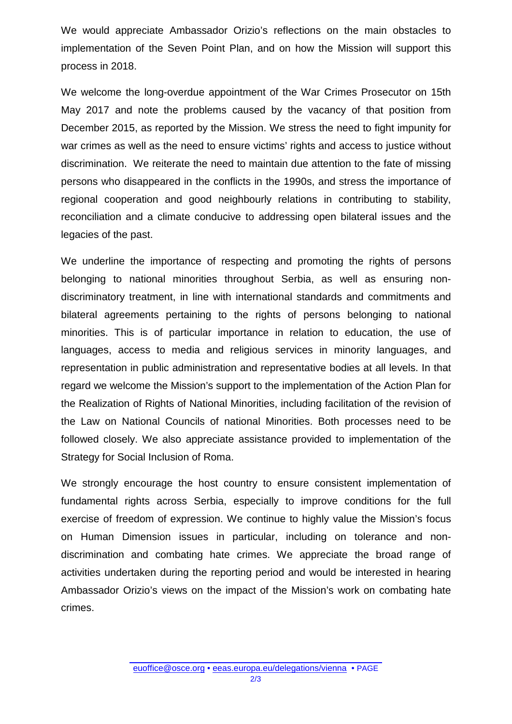We would appreciate Ambassador Orizio's reflections on the main obstacles to implementation of the Seven Point Plan, and on how the Mission will support this process in 2018.

We welcome the long-overdue appointment of the War Crimes Prosecutor on 15th May 2017 and note the problems caused by the vacancy of that position from December 2015, as reported by the Mission. We stress the need to fight impunity for war crimes as well as the need to ensure victims' rights and access to justice without discrimination. We reiterate the need to maintain due attention to the fate of missing persons who disappeared in the conflicts in the 1990s, and stress the importance of regional cooperation and good neighbourly relations in contributing to stability, reconciliation and a climate conducive to addressing open bilateral issues and the legacies of the past.

We underline the importance of respecting and promoting the rights of persons belonging to national minorities throughout Serbia, as well as ensuring nondiscriminatory treatment, in line with international standards and commitments and bilateral agreements pertaining to the rights of persons belonging to national minorities. This is of particular importance in relation to education, the use of languages, access to media and religious services in minority languages, and representation in public administration and representative bodies at all levels. In that regard we welcome the Mission's support to the implementation of the Action Plan for the Realization of Rights of National Minorities, including facilitation of the revision of the Law on National Councils of national Minorities. Both processes need to be followed closely. We also appreciate assistance provided to implementation of the Strategy for Social Inclusion of Roma.

We strongly encourage the host country to ensure consistent implementation of fundamental rights across Serbia, especially to improve conditions for the full exercise of freedom of expression. We continue to highly value the Mission's focus on Human Dimension issues in particular, including on tolerance and nondiscrimination and combating hate crimes. We appreciate the broad range of activities undertaken during the reporting period and would be interested in hearing Ambassador Orizio's views on the impact of the Mission's work on combating hate crimes.